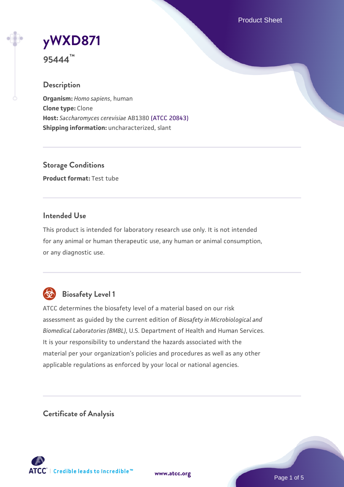Product Sheet

# **[yWXD871](https://www.atcc.org/products/95444)**

**95444™**

# **Description**

**Organism:** *Homo sapiens*, human **Clone type:** Clone **Host:** *Saccharomyces cerevisiae* AB1380 [\(ATCC 20843\)](https://www.atcc.org/products/20843) **Shipping information:** uncharacterized, slant

**Storage Conditions Product format:** Test tube

## **Intended Use**

This product is intended for laboratory research use only. It is not intended for any animal or human therapeutic use, any human or animal consumption, or any diagnostic use.



# **Biosafety Level 1**

ATCC determines the biosafety level of a material based on our risk assessment as guided by the current edition of *Biosafety in Microbiological and Biomedical Laboratories (BMBL)*, U.S. Department of Health and Human Services. It is your responsibility to understand the hazards associated with the material per your organization's policies and procedures as well as any other applicable regulations as enforced by your local or national agencies.

**Certificate of Analysis**

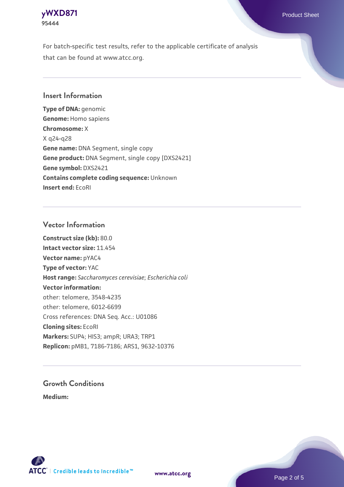

For batch-specific test results, refer to the applicable certificate of analysis that can be found at www.atcc.org.

#### **Insert Information**

**Type of DNA:** genomic **Genome:** Homo sapiens **Chromosome:** X X q24-q28 **Gene name:** DNA Segment, single copy **Gene product:** DNA Segment, single copy [DXS2421] **Gene symbol:** DXS2421 **Contains complete coding sequence:** Unknown **Insert end:** EcoRI

#### **Vector Information**

**Construct size (kb):** 80.0 **Intact vector size:** 11.454 **Vector name:** pYAC4 **Type of vector:** YAC **Host range:** *Saccharomyces cerevisiae*; *Escherichia coli* **Vector information:** other: telomere, 3548-4235 other: telomere, 6012-6699 Cross references: DNA Seq. Acc.: U01086 **Cloning sites:** EcoRI **Markers:** SUP4; HIS3; ampR; URA3; TRP1 **Replicon:** pMB1, 7186-7186; ARS1, 9632-10376

# **Growth Conditions**

**Medium:** 



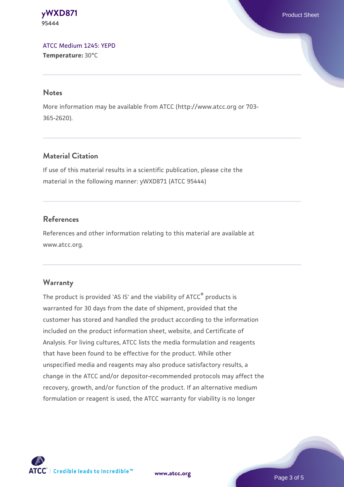**[yWXD871](https://www.atcc.org/products/95444)** Product Sheet **95444**

[ATCC Medium 1245: YEPD](https://www.atcc.org/-/media/product-assets/documents/microbial-media-formulations/1/2/4/5/atcc-medium-1245.pdf?rev=705ca55d1b6f490a808a965d5c072196) **Temperature:** 30°C

#### **Notes**

More information may be available from ATCC (http://www.atcc.org or 703- 365-2620).

## **Material Citation**

If use of this material results in a scientific publication, please cite the material in the following manner: yWXD871 (ATCC 95444)

#### **References**

References and other information relating to this material are available at www.atcc.org.

#### **Warranty**

The product is provided 'AS IS' and the viability of ATCC® products is warranted for 30 days from the date of shipment, provided that the customer has stored and handled the product according to the information included on the product information sheet, website, and Certificate of Analysis. For living cultures, ATCC lists the media formulation and reagents that have been found to be effective for the product. While other unspecified media and reagents may also produce satisfactory results, a change in the ATCC and/or depositor-recommended protocols may affect the recovery, growth, and/or function of the product. If an alternative medium formulation or reagent is used, the ATCC warranty for viability is no longer



**[www.atcc.org](http://www.atcc.org)**

Page 3 of 5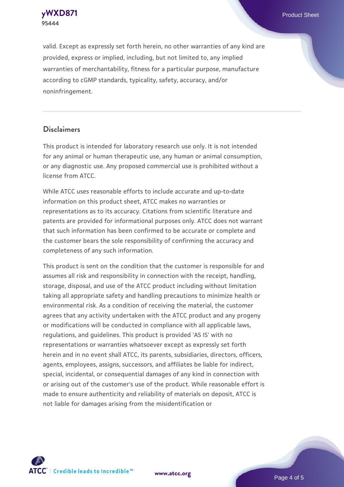**[yWXD871](https://www.atcc.org/products/95444)** Product Sheet **95444**

valid. Except as expressly set forth herein, no other warranties of any kind are provided, express or implied, including, but not limited to, any implied warranties of merchantability, fitness for a particular purpose, manufacture according to cGMP standards, typicality, safety, accuracy, and/or noninfringement.

#### **Disclaimers**

This product is intended for laboratory research use only. It is not intended for any animal or human therapeutic use, any human or animal consumption, or any diagnostic use. Any proposed commercial use is prohibited without a license from ATCC.

While ATCC uses reasonable efforts to include accurate and up-to-date information on this product sheet, ATCC makes no warranties or representations as to its accuracy. Citations from scientific literature and patents are provided for informational purposes only. ATCC does not warrant that such information has been confirmed to be accurate or complete and the customer bears the sole responsibility of confirming the accuracy and completeness of any such information.

This product is sent on the condition that the customer is responsible for and assumes all risk and responsibility in connection with the receipt, handling, storage, disposal, and use of the ATCC product including without limitation taking all appropriate safety and handling precautions to minimize health or environmental risk. As a condition of receiving the material, the customer agrees that any activity undertaken with the ATCC product and any progeny or modifications will be conducted in compliance with all applicable laws, regulations, and guidelines. This product is provided 'AS IS' with no representations or warranties whatsoever except as expressly set forth herein and in no event shall ATCC, its parents, subsidiaries, directors, officers, agents, employees, assigns, successors, and affiliates be liable for indirect, special, incidental, or consequential damages of any kind in connection with or arising out of the customer's use of the product. While reasonable effort is made to ensure authenticity and reliability of materials on deposit, ATCC is not liable for damages arising from the misidentification or



**[www.atcc.org](http://www.atcc.org)**

Page 4 of 5